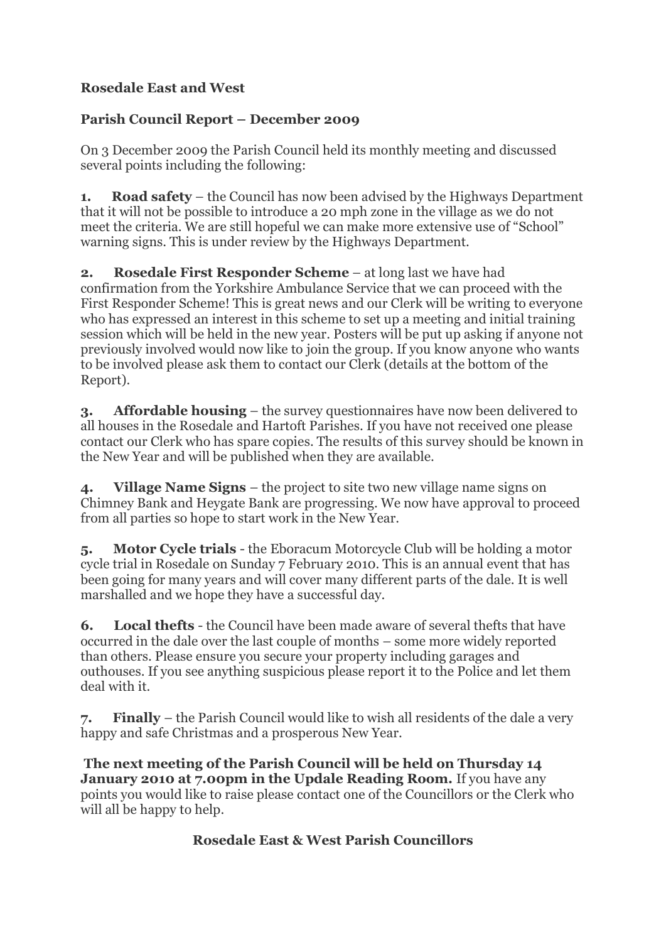## **Rosedale East and West**

## **Parish Council Report – December 2009**

On 3 December 2009 the Parish Council held its monthly meeting and discussed several points including the following:

**1. Road safety** – the Council has now been advised by the Highways Department that it will not be possible to introduce a 20 mph zone in the village as we do not meet the criteria. We are still hopeful we can make more extensive use of "School" warning signs. This is under review by the Highways Department.

**2. Rosedale First Responder Scheme** – at long last we have had confirmation from the Yorkshire Ambulance Service that we can proceed with the First Responder Scheme! This is great news and our Clerk will be writing to everyone who has expressed an interest in this scheme to set up a meeting and initial training session which will be held in the new year. Posters will be put up asking if anyone not previously involved would now like to join the group. If you know anyone who wants to be involved please ask them to contact our Clerk (details at the bottom of the Report).

**3. Affordable housing** – the survey questionnaires have now been delivered to all houses in the Rosedale and Hartoft Parishes. If you have not received one please contact our Clerk who has spare copies. The results of this survey should be known in the New Year and will be published when they are available.

**4. Village Name Signs** – the project to site two new village name signs on Chimney Bank and Heygate Bank are progressing. We now have approval to proceed from all parties so hope to start work in the New Year.

**5. Motor Cycle trials** - the Eboracum Motorcycle Club will be holding a motor cycle trial in Rosedale on Sunday 7 February 2010. This is an annual event that has been going for many years and will cover many different parts of the dale. It is well marshalled and we hope they have a successful day.

**6. Local thefts** - the Council have been made aware of several thefts that have occurred in the dale over the last couple of months – some more widely reported than others. Please ensure you secure your property including garages and outhouses. If you see anything suspicious please report it to the Police and let them deal with it.

**7. Finally** – the Parish Council would like to wish all residents of the dale a very happy and safe Christmas and a prosperous New Year.

**The next meeting of the Parish Council will be held on Thursday 14 January 2010 at 7.00pm in the Updale Reading Room.** If you have any points you would like to raise please contact one of the Councillors or the Clerk who will all be happy to help.

## **Rosedale East & West Parish Councillors**